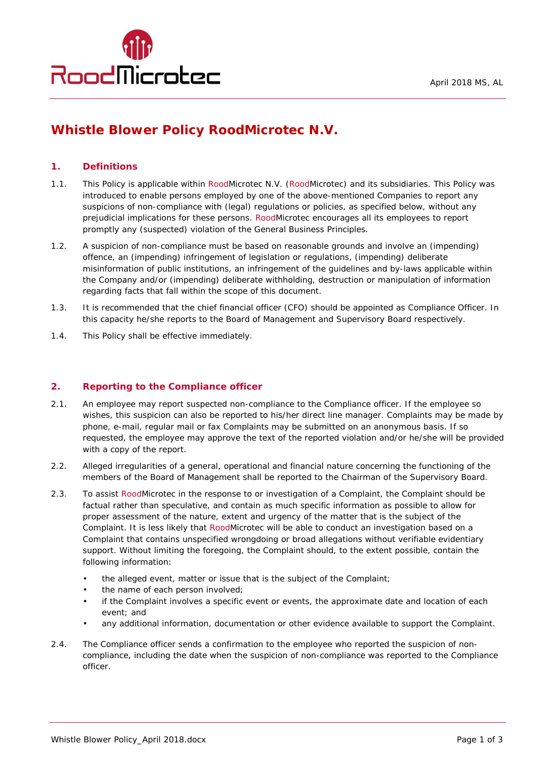

# **Whistle Blower Policy RoodMicrotec N.V.**

#### **1. Definitions**

- 1.1. This Policy is applicable within RoodMicrotec N.V. (RoodMicrotec) and its subsidiaries. This Policy was introduced to enable persons employed by one of the above-mentioned Companies to report any suspicions of non-compliance with (legal) regulations or policies, as specified below, without any prejudicial implications for these persons. RoodMicrotec encourages all its employees to report promptly any (suspected) violation of the General Business Principles.
- 1.2. A suspicion of non-compliance must be based on reasonable grounds and involve an (impending) offence, an (impending) infringement of legislation or regulations, (impending) deliberate misinformation of public institutions, an infringement of the guidelines and by-laws applicable within the Company and/or (impending) deliberate withholding, destruction or manipulation of information regarding facts that fall within the scope of this document.
- 1.3. It is recommended that the chief financial officer (CFO) should be appointed as Compliance Officer. In this capacity he/she reports to the Board of Management and Supervisory Board respectively.
- 1.4. This Policy shall be effective immediately.

#### **2. Reporting to the Compliance officer**

- 2.1. An employee may report suspected non-compliance to the Compliance officer. If the employee so wishes, this suspicion can also be reported to his/her direct line manager. Complaints may be made by phone, e-mail, regular mail or fax Complaints may be submitted on an anonymous basis. If so requested, the employee may approve the text of the reported violation and/or he/she will be provided with a copy of the report.
- 2.2. Alleged irregularities of a general, operational and financial nature concerning the functioning of the members of the Board of Management shall be reported to the Chairman of the Supervisory Board.
- 2.3. To assist RoodMicrotec in the response to or investigation of a Complaint, the Complaint should be factual rather than speculative, and contain as much specific information as possible to allow for proper assessment of the nature, extent and urgency of the matter that is the subject of the Complaint. It is less likely that RoodMicrotec will be able to conduct an investigation based on a Complaint that contains unspecified wrongdoing or broad allegations without verifiable evidentiary support. Without limiting the foregoing, the Complaint should, to the extent possible, contain the following information:
	- the alleged event, matter or issue that is the subject of the Complaint;
	- the name of each person involved;
	- if the Complaint involves a specific event or events, the approximate date and location of each event; and
	- any additional information, documentation or other evidence available to support the Complaint.
- 2.4. The Compliance officer sends a confirmation to the employee who reported the suspicion of noncompliance, including the date when the suspicion of non-compliance was reported to the Compliance officer.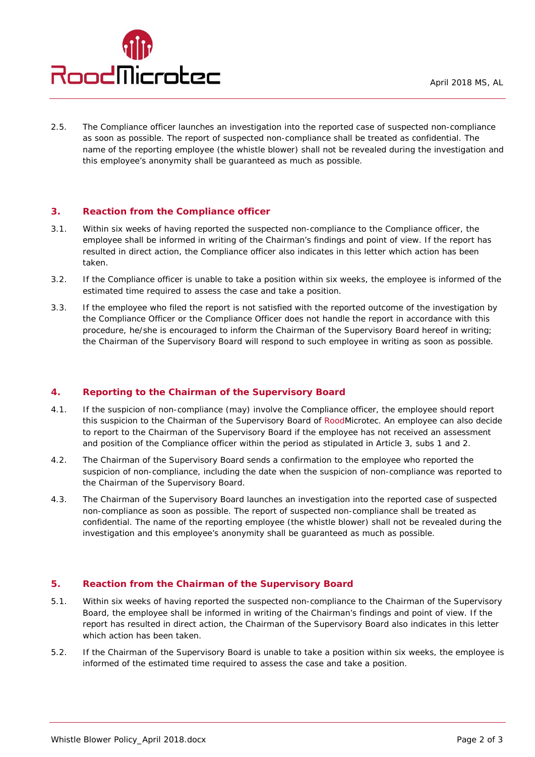

2.5. The Compliance officer launches an investigation into the reported case of suspected non-compliance as soon as possible. The report of suspected non-compliance shall be treated as confidential. The name of the reporting employee (the whistle blower) shall not be revealed during the investigation and this employee's anonymity shall be guaranteed as much as possible.

## **3. Reaction from the Compliance officer**

- 3.1. Within six weeks of having reported the suspected non-compliance to the Compliance officer, the employee shall be informed in writing of the Chairman's findings and point of view. If the report has resulted in direct action, the Compliance officer also indicates in this letter which action has been taken.
- 3.2. If the Compliance officer is unable to take a position within six weeks, the employee is informed of the estimated time required to assess the case and take a position.
- 3.3. If the employee who filed the report is not satisfied with the reported outcome of the investigation by the Compliance Officer or the Compliance Officer does not handle the report in accordance with this procedure, he/she is encouraged to inform the Chairman of the Supervisory Board hereof in writing; the Chairman of the Supervisory Board will respond to such employee in writing as soon as possible.

#### **4. Reporting to the Chairman of the Supervisory Board**

- 4.1. If the suspicion of non-compliance (may) involve the Compliance officer, the employee should report this suspicion to the Chairman of the Supervisory Board of RoodMicrotec. An employee can also decide to report to the Chairman of the Supervisory Board if the employee has not received an assessment and position of the Compliance officer within the period as stipulated in Article 3, subs 1 and 2.
- 4.2. The Chairman of the Supervisory Board sends a confirmation to the employee who reported the suspicion of non-compliance, including the date when the suspicion of non-compliance was reported to the Chairman of the Supervisory Board.
- 4.3. The Chairman of the Supervisory Board launches an investigation into the reported case of suspected non-compliance as soon as possible. The report of suspected non-compliance shall be treated as confidential. The name of the reporting employee (the whistle blower) shall not be revealed during the investigation and this employee's anonymity shall be guaranteed as much as possible.

#### **5. Reaction from the Chairman of the Supervisory Board**

- 5.1. Within six weeks of having reported the suspected non-compliance to the Chairman of the Supervisory Board, the employee shall be informed in writing of the Chairman's findings and point of view. If the report has resulted in direct action, the Chairman of the Supervisory Board also indicates in this letter which action has been taken.
- 5.2. If the Chairman of the Supervisory Board is unable to take a position within six weeks, the employee is informed of the estimated time required to assess the case and take a position.